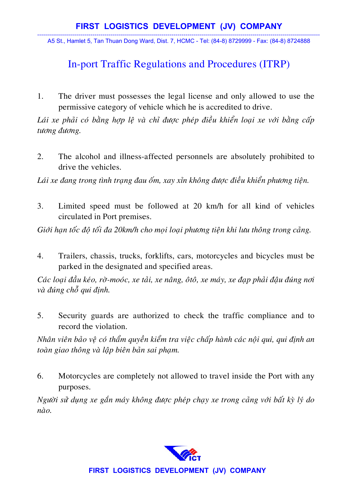----------------------------------------------------------------------------------------------------------------------------------------------- A5 St., Hamlet 5, Tan Thuan Dong Ward, Dist. 7, HCMC - Tel: (84-8) 8729999 - Fax: (84-8) 8724888

## In-port Traffic Regulations and Procedures (ITRP)

1. The driver must possesses the legal license and only allowed to use the permissive category of vehicle which he is accredited to drive.

Lái xe phải có bằng hợp lệ và chỉ được phép điều khiển loại xe với bằng cấp tương đương.

2. The alcohol and illness-affected personnels are absolutely prohibited to drive the vehicles.

Lái xe đang trong tình trạng đau ốm, xay xỉn không được điều khiển phương tiện.

3. Limited speed must be followed at 20 km/h for all kind of vehicles circulated in Port premises.

Giới hạn tốc độ tối đa 20km/h cho mọi loại phương tiện khi lưu thông trong cảng.

4. Trailers, chassis, trucks, forklifts, cars, motorcycles and bicycles must be parked in the designated and specified areas.

*Caùc loaïi ñaàu keùo, rôø-mooùc, xe taûi, xe naâng, oâtoâ, xe maùy, xe ñaïp phaûi ñaäu ñuùng nôi vaø ñuùng choã qui ñònh.* 

5. Security guards are authorized to check the traffic compliance and to record the violation.

*Nhân viên bảo về có thẩm quyền kiểm tra việc chấp hành các nôi qui, qui đinh an toàn giao thông và lập biên bản sai phạm.* 

6. Motorcycles are completely not allowed to travel inside the Port with any purposes.

*Người sử dụng xe gắn máy không được phép chay xe trong cảng với bất kỳ lý do*  $n\grave{a}o$ .



**FIRST LOGISTICS DEVELOPMENT (JV) COMPANY**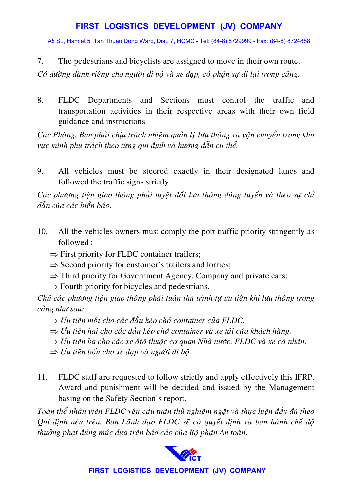## **FIRST LOGISTICS DEVELOPMENT (JV) COMPANY**

----------------------------------------------------------------------------------------------------------------------------------------------- A5 St., Hamlet 5, Tan Thuan Dong Ward, Dist. 7, HCMC - Tel: (84-8) 8729999 - Fax: (84-8) 8724888

7. The pedestrians and bicyclists are assigned to move in their own route.

*Coù ñöôøng daønh rieâng cho ngöôøi ñi boä vaø xe ñaïp, coù phaän söï ñi laïi trong caûng.* 

8. FLDC Departments and Sections must control the traffic and transportation activities in their respective areas with their own field guidance and instructions

*Caùc Phoøng, Ban phaûi chòu traùch nhieäm quaûn lyù löu thoâng vaø vaän chuyeån trong khu*  vực mình phu trách theo từng qui đinh và hướng dẫn cu thể.

9. All vehicles must be steered exactly in their designated lanes and followed the traffic signs strictly.

Các phương tiên giao thông phải tuyết đối lưu thông đúng tuyến và theo sư chỉ *daãn cuûa caùc bieån baùo.* 

- 10. All the vehicles owners must comply the port traffic priority stringently as followed :
	- $\Rightarrow$  First priority for FLDC container trailers;
	- $\Rightarrow$  Second priority for customer's trailers and lorries;
	- $\Rightarrow$  Third priority for Government Agency, Company and private cars;
	- $\Rightarrow$  Fourth priority for bicycles and pedestrians.

*Chủ các phương tiện giao thông phải tuân thủ trình tự ưu tiên khi lưu thông trong câng như sau:* 

- ⇒ *Öu tieân moät cho caùc ñaàu keùo chôû container cuûa FLDC.*
- $\Rightarrow$  *Ŭu tiên hai cho các đầu kéo chở container và xe tải của khách hàng.*
- $\Rightarrow$  *Úu tiên ba cho các xe ôtô thuộc cơ quan Nhà nước, FLDC và xe cá nhân.*
- $\Rightarrow$  Uu tiên bốn cho xe đạp và người đi bộ.
- 11. FLDC staff are requested to follow strictly and apply effectively this IFRP. Award and punishment will be decided and issued by the Management basing on the Safety Section's report.

*Toaøn theå nhaân vieân FLDC yeâu caàu tuaân thuû nghieâm ngaët vaø thöïc hieän ñaày ñuû theo*  Qui định nêu trên. Ban Lãnh đạo FLDC sẽ có quyết định và ban hành chế độ *thöôûng phaït ñuùng möùc döïa treân baùo caùo cuûa Boä phaän An toaøn.* 



## **FIRST LOGISTICS DEVELOPMENT (JV) COMPANY**